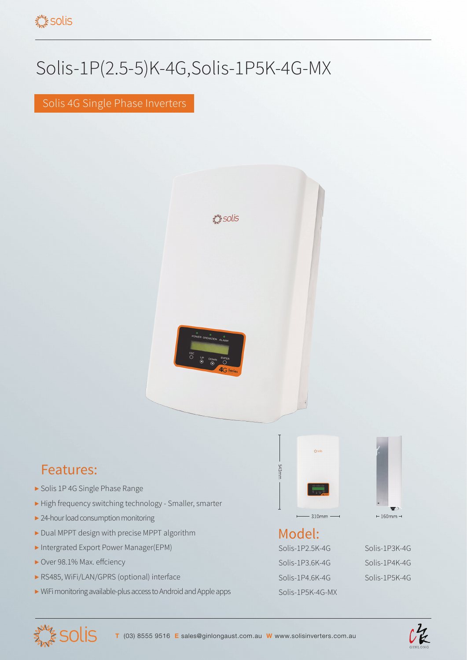## Solis-1P(2.5-5)K-4G,Solis-1P5K-4G-MX

Solis 4G Single Phase Inverters



## Features:

- ▶ Solis 1P 4G Single Phase Range
- ▶ High frequency switching technology Smaller, smarter
- ▶ 24-hour load consumption monitoring
- ▶ Dual MPPT design with precise MPPT algorithm
- ▶ Intergrated Export Power Manager(EPM)
- ▶ Over 98.1% Max. effciency

**SOLIS** 

- ▶ RS485, WiFi/LAN/GPRS (optional) interface
- ▶ WiFi monitoring available-plus access to Android and Apple apps



## Model:

Solis-1P2.5K-4G Solis-1P3K-4G Solis-1P3.6K-4G Solis-1P4K-4G Solis-1P4.6K-4G Solis-1P5K-4G Solis-1P5K-4G-MX